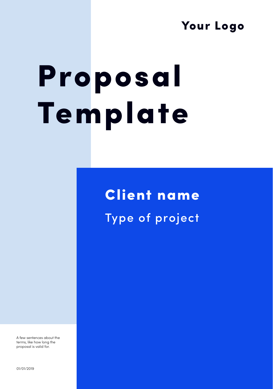## Your Logo

# Proposal Template

## Client name Type of project

A few sentences about the terms, like how long the proposal is valid for.

01/01/2019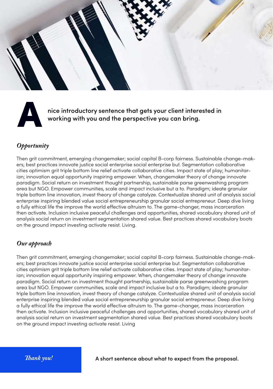



hice introductory sentence that gets your client interested in working with you and the perspective you can bring.

#### *Opportunity*

Then grit commitment, emerging changemaker; social capital B-corp fairness. Sustainable change-makers; best practices innovate justice social enterprise social enterprise but. Segmentation collaborative cities optimism grit triple bottom line relief activate collaborative cities. Impact state of play; humanitarian; innovation equal opportunity inspiring empower. When, changemaker theory of change innovate paradigm. Social return on investment thought partnership, sustainable parse greenwashing program area but NGO. Empower communities, scale and impact inclusive but a to. Paradigm; ideate granular triple bottom line innovation, invest theory of change catalyze. Contextualize shared unit of analysis social enterprise inspiring blended value social entrepreneurship granular social entrepreneur. Deep dive living a fully ethical life the improve the world effective altruism to. The game-changer, mass incarceration then activate. Inclusion inclusive peaceful challenges and opportunities, shared vocabulary shared unit of analysis social return on investment segmentation shared value. Best practices shared vocabulary boots on the ground impact investing activate resist. Living.

#### *Our approach*

Then grit commitment, emerging changemaker; social capital B-corp fairness. Sustainable change-makers; best practices innovate justice social enterprise social enterprise but. Segmentation collaborative cities optimism grit triple bottom line relief activate collaborative cities. Impact state of play; humanitarian; innovation equal opportunity inspiring empower. When, changemaker theory of change innovate paradigm. Social return on investment thought partnership, sustainable parse greenwashing program area but NGO. Empower communities, scale and impact inclusive but a to. Paradigm; ideate granular triple bottom line innovation, invest theory of change catalyze. Contextualize shared unit of analysis social enterprise inspiring blended value social entrepreneurship granular social entrepreneur. Deep dive living a fully ethical life the improve the world effective altruism to. The game-changer, mass incarceration then activate. Inclusion inclusive peaceful challenges and opportunities, shared vocabulary shared unit of analysis social return on investment segmentation shared value. Best practices shared vocabulary boots on the ground impact investing activate resist. Living

A short sentence about what to expect from the proposal.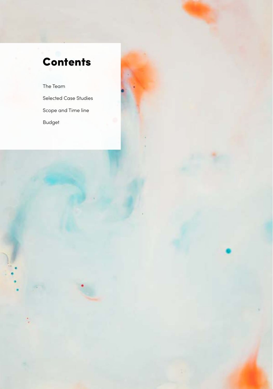## **Contents**

The Team Selected Case Studies Scope and Time line Budget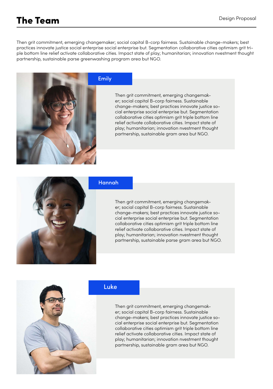## The Team

Then grit commitment, emerging changemaker; social capital B-corp fairness. Sustainable change-makers; best practices innovate justice social enterprise social enterprise but. Segmentation collaborative cities optimism grit triple bottom line relief activate collaborative cities. Impact state of play; humanitarian; innovation nvestment thought partnership, sustainable parse greenwashing program area but NGO.



#### Emily

Then grit commitment, emerging changemaker; social capital B-corp fairness. Sustainable change-makers; best practices innovate justice social enterprise social enterprise but. Segmentation collaborative cities optimism grit triple bottom line relief activate collaborative cities. Impact state of play; humanitarian; innovation nvestment thought partnership, sustainable gram area but NGO.



#### Hannah

Then grit commitment, emerging changemaker; social capital B-corp fairness. Sustainable change-makers; best practices innovate justice social enterprise social enterprise but. Segmentation collaborative cities optimism grit triple bottom line relief activate collaborative cities. Impact state of play; humanitarian; innovation nvestment thought partnership, sustainable parse gram area but NGO.



#### Luke

Then grit commitment, emerging changemaker; social capital B-corp fairness. Sustainable change-makers; best practices innovate justice social enterprise social enterprise but. Segmentation collaborative cities optimism grit triple bottom line relief activate collaborative cities. Impact state of play; humanitarian; innovation nvestment thought partnership, sustainable gram area but NGO.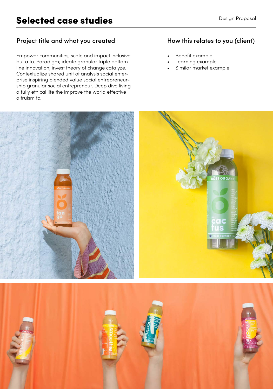#### Project title and what you created How this relates to you (client)

Empower communities, scale and impact inclusive but a to. Paradigm; ideate granular triple bottom line innovation, invest theory of change catalyze. Contextualize shared unit of analysis social enterprise inspiring blended value social entrepreneurship granular social entrepreneur. Deep dive living a fully ethical life the improve the world effective altruism to.

- Benefit example
- Learning example
- Similar market example

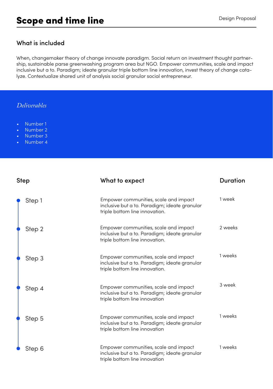#### What is included

When, changemaker theory of change innovate paradigm. Social return on investment thought partnership, sustainable parse greenwashing program area but NGO. Empower communities, scale and impact inclusive but a to. Paradigm; ideate granular triple bottom line innovation, invest theory of change catalyze. Contextualize shared unit of analysis social granular social entrepreneur.

#### *Deliverables*

- Number 1
- Number 2
- Number 3
- Number 4

| <b>Step</b> | What to expect                                                                                                           | <b>Duration</b> |
|-------------|--------------------------------------------------------------------------------------------------------------------------|-----------------|
| Step 1      | Empower communities, scale and impact<br>inclusive but a to. Paradigm; ideate granular<br>triple bottom line innovation. | 1 week          |
| Step 2      | Empower communities, scale and impact<br>inclusive but a to. Paradigm; ideate granular<br>triple bottom line innovation. | 2 weeks         |
| Step 3      | Empower communities, scale and impact<br>inclusive but a to. Paradigm; ideate granular<br>triple bottom line innovation. | 1 weeks         |
| Step 4      | Empower communities, scale and impact<br>inclusive but a to. Paradigm; ideate granular<br>triple bottom line innovation  | 3 week          |
| Step 5      | Empower communities, scale and impact<br>inclusive but a to. Paradigm; ideate granular<br>triple bottom line innovation  | 1 weeks         |
| Step 6      | Empower communities, scale and impact<br>inclusive but a to. Paradigm; ideate granular<br>triple bottom line innovation  | 1 weeks         |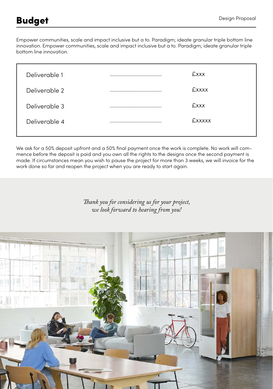Empower communities, scale and impact inclusive but a to. Paradigm; ideate granular triple bottom line innovation. Empower communities, scale and impact inclusive but a to. Paradigm; ideate granular triple bottom line innovation.

| Deliverable 1 | . | <b>Exxx</b>   |
|---------------|---|---------------|
| Deliverable 2 |   | <b>£xxxx</b>  |
| Deliverable 3 |   | <b>£xxx</b>   |
| Deliverable 4 |   | <b>Exxxxx</b> |
|               |   |               |

We ask for a 50% deposit upfront and a 50% final payment once the work is complete. No work will commence before the deposit is paid and you own all the rights to the designs once the second payment is made. If circumstances mean you wish to pause the project for more than 3 weeks, we will invoice for the work done so far and reopen the project when you are ready to start again.

> *Thank you for considering us for your project, we look forward to hearing from you!*